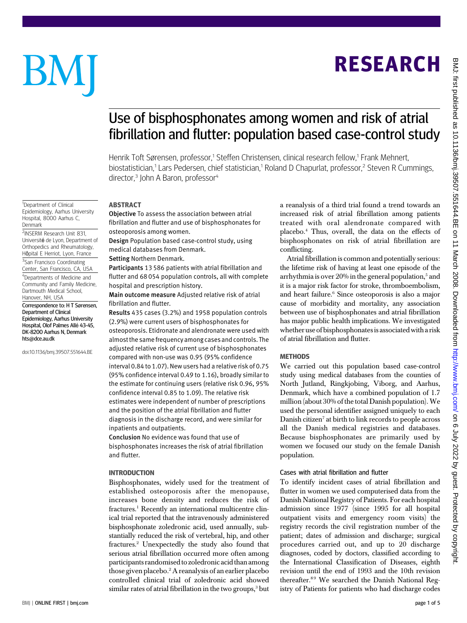## RESEARCH

# BM

<sup>1</sup>Department of Clinical Epidemiology, Aarhus University Hospital, 8000 Aarhus C,

2 INSERM Research Unit 831, Université de Lyon, Department of Orthopedics and Rheumatology, Hôpital E Herriot, Lyon, France <sup>3</sup>San Francisco Coordinating Center, San Francisco, CA, USA 4 Departments of Medicine and Community and Family Medicine, Dartmouth Medical School, Hanover, NH, USA

Correspondence to: H T Sørensen, Department of Clinical Epidemiology, Aarhus University Hospital, Olof Palmes Allé 43-45, DK-8200 Aarhus N, Denmark

doi:10.1136/bmj.39507.551644.BE

hts@dce.au.dk

Denmark

### Use of bisphosphonates among women and risk of atrial fibrillation and flutter: population based case-control study

Henrik Toft Sørensen, professor,<sup>1</sup> Steffen Christensen, clinical research fellow,<sup>1</sup> Frank Mehnert, biostatistician,<sup>1</sup> Lars Pedersen, chief statistician,<sup>1</sup> Roland D Chapurlat, professor,<sup>2</sup> Steven R Cummings, director,<sup>3</sup> John A Baron, professor<sup>4</sup>

#### ABSTRACT

Objective To assess the association between atrial fibrillation and flutter and use of bisphosphonates for osteoporosis among women.

Design Population based case-control study, using medical databases from Denmark.

Setting Northern Denmark.

Participants 13 586 patients with atrial fibrillation and flutter and 68 054 population controls, all with complete hospital and prescription history.

Main outcome measure Adjusted relative risk of atrial fibrillation and flutter.

Results 435 cases (3.2%) and 1958 population controls (2.9%) were current users of bisphosphonates for osteoporosis. Etidronate and alendronate were used with almost the samefrequency among cases and controls. The adjusted relative risk of current use of bisphosphonates compared with non-use was 0.95 (95% confidence interval 0.84 to 1.07). New users had a relative risk of 0.75 (95% confidence interval 0.49 to 1.16), broadly similar to the estimate for continuing users (relative risk 0.96, 95% confidence interval 0.85 to 1.09). The relative risk estimates were independent of number of prescriptions and the position of the atrial fibrillation and flutter diagnosis in the discharge record, and were similar for inpatients and outpatients.

Conclusion No evidence was found that use of bisphosphonates increases the risk of atrial fibrillation and flutter.

#### INTRODUCTION

Bisphosphonates, widely used for the treatment of established osteoporosis after the menopause, increases bone density and reduces the risk of fractures.<sup>1</sup> Recently an international multicentre clinical trial reported that the intravenously administered bisphosphonate zoledronic acid, used annually, substantially reduced the risk of vertebral, hip, and other fractures.2 Unexpectedly the study also found that serious atrial fibrillation occurred more often among participants randomised to zoledronic acid than among those given placebo.2 A reanalysis of an earlier placebo controlled clinical trial of zoledronic acid showed similar rates of atrial fibrillation in the two groups,<sup>3</sup> but

a reanalysis of a third trial found a trend towards an increased risk of atrial fibrillation among patients treated with oral alendronate compared with placebo.4 Thus, overall, the data on the effects of bisphosphonates on risk of atrial fibrillation are conflicting.

Atrial fibrillation is common and potentially serious: the lifetime risk of having at least one episode of the arrhythmia is over 20% in the general population,<sup>5</sup> and it is a major risk factor for stroke, thromboembolism, and heart failure.6 Since osteoporosis is also a major cause of morbidity and mortality, any association between use of bisphosphonates and atrial fibrillation has major public health implications. We investigated whether use of bisphosphonates is associated with a risk of atrial fibrillation and flutter.

#### **METHODS**

We carried out this population based case-control study using medical databases from the counties of North Jutland, Ringkjobing, Viborg, and Aarhus, Denmark, which have a combined population of 1.7 million (about 30% of the total Danish population). We used the personal identifier assigned uniquely to each Danish citizen<sup>7</sup> at birth to link records to people across all the Danish medical registries and databases. Because bisphosphonates are primarily used by women we focused our study on the female Danish population.

#### Cases with atrial fibrillation and flutter

To identify incident cases of atrial fibrillation and flutter in women we used computerised data from the Danish National Registry of Patients. For each hospital admission since 1977 (since 1995 for all hospital outpatient visits and emergency room visits) the registry records the civil registration number of the patient; dates of admission and discharge; surgical procedures carried out, and up to 20 discharge diagnoses, coded by doctors, classified according to the International Classification of Diseases, eighth revision until the end of 1993 and the 10th revision thereafter.<sup>89</sup> We searched the Danish National Registry of Patients for patients who had discharge codes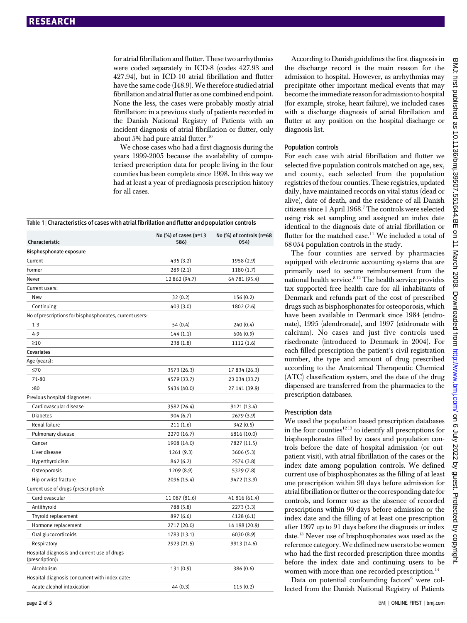for atrial fibrillation and flutter. These two arrhythmias were coded separately in ICD-8 (codes 427.93 and 427.94), but in ICD-10 atrial fibrillation and flutter have the same code (I48.9). We therefore studied atrial fibrillation and atrial flutter as one combined end point. None the less, the cases were probably mostly atrial fibrillation: in a previous study of patients recorded in the Danish National Registry of Patients with an incident diagnosis of atrial fibrillation or flutter, only about  $5\%$  had pure atrial flutter.<sup>10</sup>

We chose cases who had a first diagnosis during the years 1999-2005 because the availability of computerised prescription data for people living in the four counties has been complete since 1998. In this way we had at least a year of prediagnosis prescription history for all cases.

#### Table 1 | Characteristics of cases with atrial fibrillation and flutter and population controls

| Characteristic                                                 | $No$ $(\%)$ of cases (n=13<br>586) | No $(\%)$ of controls (n=68)<br>054) |
|----------------------------------------------------------------|------------------------------------|--------------------------------------|
| <b>Bisphosphonate exposure</b>                                 |                                    |                                      |
| Current                                                        | 435 (3.2)                          | 1958 (2.9)                           |
| Former                                                         | 289(2.1)                           | 1180 (1.7)                           |
| Never                                                          | 12 862 (94.7)                      | 64 781 (95.4)                        |
| Current users:                                                 |                                    |                                      |
| <b>New</b>                                                     | 32(0.2)                            | 156(0.2)                             |
| Continuing                                                     | 403 (3.0)                          | 1802 (2.6)                           |
| No of prescriptions for bisphosphonates, current users:        |                                    |                                      |
| $1 - 3$                                                        | 54 (0.4)                           | 240(0.4)                             |
| $4 - 9$                                                        | 144(1.1)                           | 606(0.9)                             |
| $\geq 10$                                                      | 238(1.8)                           | 1112 (1.6)                           |
| Covariates                                                     |                                    |                                      |
| Age (years):                                                   |                                    |                                      |
| ≤70                                                            | 3573 (26.3)                        | 17 834 (26.3)                        |
| 71-80                                                          | 4579 (33.7)                        | 23 034 (33.7)                        |
| <b>&gt;80</b>                                                  | 5434 (40.0)                        | 27 141 (39.9)                        |
| Previous hospital diagnoses:                                   |                                    |                                      |
| Cardiovascular disease                                         | 3582 (26.4)                        | 9121 (13.4)                          |
| <b>Diabetes</b>                                                | 904 (6.7)                          | 2679(3.9)                            |
| Renal failure                                                  | 211(1.6)                           | 342(0.5)                             |
| Pulmonary disease                                              | 2270 (16.7)                        | 6816 (10.0)                          |
| Cancer                                                         | 1908 (14.0)                        | 7827 (11.5)                          |
| Liver disease                                                  | 1261 (9.3)                         | 3606(5.3)                            |
| Hyperthyroidism                                                | 842 (6.2)                          | 2574 (3.8)                           |
| Osteoporosis                                                   | 1209 (8.9)                         | 5329 (7.8)                           |
| Hip or wrist fracture                                          | 2096 (15.4)                        | 9472 (13.9)                          |
| Current use of drugs (prescription):                           |                                    |                                      |
| Cardiovascular                                                 | 11 087 (81.6)                      | 41 816 (61.4)                        |
| Antithyroid                                                    | 788 (5.8)                          | 2273(3.3)                            |
| Thyroid replacement                                            | 897 (6.6)                          | 4128 (6.1)                           |
| Hormone replacement                                            | 2717 (20.0)                        | 14 198 (20.9)                        |
| Oral glucocorticoids                                           | 1783 (13.1)                        | 6030 (8.9)                           |
| Respiratory                                                    | 2923 (21.5)                        | 9913 (14.6)                          |
| Hospital diagnosis and current use of drugs<br>(prescription): |                                    |                                      |
| Alcoholism                                                     | 131 (0.9)                          | 386 (0.6)                            |
| Hospital diagnosis concurrent with index date:                 |                                    |                                      |
| Acute alcohol intoxication                                     | 44(0.3)                            | 115(0.2)                             |

According to Danish guidelines the first diagnosis in the discharge record is the main reason for the admission to hospital. However, as arrhythmias may precipitate other important medical events that may becomethe immediate reasonfor admissionto hospital (for example, stroke, heart failure), we included cases with a discharge diagnosis of atrial fibrillation and flutter at any position on the hospital discharge or diagnosis list.

#### Population controls

For each case with atrial fibrillation and flutter we selected five population controls matched on age, sex, and county, each selected from the population registries of the four counties. These registries, updated daily, have maintained records on vital status (dead or alive), date of death, and the residence of all Danish citizens since 1 April 1968.7 The controls were selected using risk set sampling and assigned an index date identical to the diagnosis date of atrial fibrillation or flutter for the matched case.<sup>11</sup> We included a total of 68 054 population controls in the study.

The four counties are served by pharmacies equipped with electronic accounting systems that are primarily used to secure reimbursement from the national health service.<sup>812</sup> The health service provides tax supported free health care for all inhabitants of Denmark and refunds part of the cost of prescribed drugs such as bisphosphonates for osteoporosis, which have been available in Denmark since 1984 (etidronate), 1995 (alendronate), and 1997 (etidronate with calcium). No cases and just five controls used risedronate (introduced to Denmark in 2004). For each filled prescription the patient's civil registration number, the type and amount of drug prescribed according to the Anatomical Therapeutic Chemical (ATC) classification system, and the date of the drug dispensed are transferred from the pharmacies to the prescription databases.

#### Prescription data

We used the population based prescription databases in the four counties $1213$  to identify all prescriptions for bisphosphonates filled by cases and population controls before the date of hospital admission (or outpatient visit), with atrial fibrillation of the cases or the index date among population controls. We defined current use of bisphosphonates as the filling of at least one prescription within 90 days before admission for atrial fibrillation or flutter or the corresponding date for controls, and former use as the absence of recorded prescriptions within 90 days before admission or the index date and the filling of at least one prescription after 1997 up to 91 days before the diagnosis or index date.<sup>13</sup> Never use of bisphosphonates was used as the reference category.We defined new users to be women who had the first recorded prescription three months before the index date and continuing users to be women with more than one recorded prescription.<sup>14</sup>

Data on potential confounding factors $6$  were collected from the Danish National Registry of Patients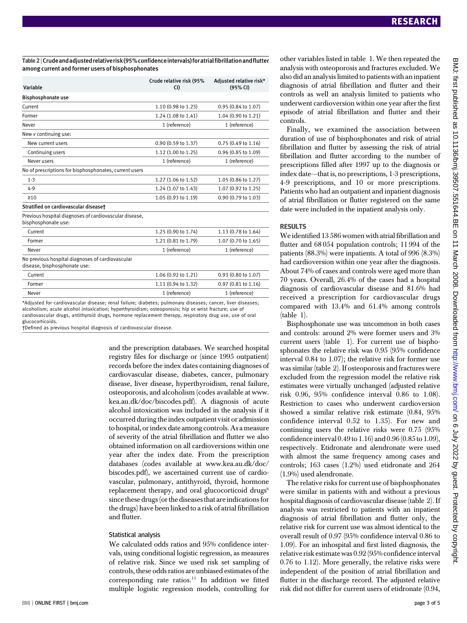Table 2 <sup>|</sup> Crudeandadjustedrelativerisk (95%confidenceintervals) foratrial fibrillationand flutter among current and former users of bisphosphonates

| Variable                                               | Crude relative risk (95%<br>CI) | Adjusted relative risk*<br>(95% CI) |
|--------------------------------------------------------|---------------------------------|-------------------------------------|
| <b>Bisphosphonate use</b>                              |                                 |                                     |
| Current                                                | 1.10 (0.98 to 1.23)             | $0.95(0.84 \text{ to } 1.07)$       |
| Former                                                 | 1.24 (1.08 to 1.41)             | 1.04 (0.90 to 1.21)                 |
| Never                                                  | 1 (reference)                   | 1 (reference)                       |
| New v continuing use:                                  |                                 |                                     |
| New current users                                      | 0.90 (0.59 to 1.37)             | $0.75(0.49 \text{ to } 1.16)$       |
| Continuing users                                       | $1.12$ (1.00 to 1.25)           | 0.96 (0.85 to 1.09)                 |
| Never users                                            | 1 (reference)                   | 1 (reference)                       |
| No of prescriptions for bisphosphonates, current users |                                 |                                     |
| $1-3$                                                  | 1.27 (1.06 to 1.52)             | 1.05 (0.86 to 1.27)                 |
| $4 - 9$                                                | 1.24 (1.07 to 1.43)             | 1.07 (0.92 to 1.25)                 |
| $\geq 10$                                              | 1.05 (0.93 to 1.19)             | 0.90 (0.79 to 1.03)                 |
| Stratified on cardiovascular diseaset                  |                                 |                                     |
| Provious bosnital diagnoses of cardiovascular disease  |                                 |                                     |

Previous hospital diagnoses of cardiovascular disease,

| bisphosphonate use:                                                              |                     |                               |
|----------------------------------------------------------------------------------|---------------------|-------------------------------|
| Current                                                                          | 1.25 (0.90 to 1.74) | 1.13 (0.78 to 1.64)           |
| Former                                                                           | 1.21 (0.81 to 1.79) | 1.07 (0.70 to 1.65)           |
| Never                                                                            | 1 (reference)       | 1 (reference)                 |
| No previous hospital diagnoses of cardiovascular<br>disease, bisphosphonate use: |                     |                               |
| Current                                                                          | 1.06 (0.92 to 1.21) | $0.93(0.80 \text{ to } 1.07)$ |
| Former                                                                           | 1.11 (0.94 to 1.32) | $0.97(0.81 \text{ to } 1.16)$ |
| Never                                                                            | 1 (reference)       | 1 (reference)                 |

\*Adjusted for cardiovascular disease; renal failure; diabetes; pulmonary diseases; cancer, liver diseases; alcoholism; acute alcohol intoxication; hyperthyroidism; osteoporosis; hip or wrist fracture; use of cardiovascular drugs, antithyroid drugs, hormone replacement therapy, respiratory drug use, use of oral glucocorticoids.

†Defined as previous hospital diagnosis of cardiovascular disease.

and the prescription databases. We searched hospital registry files for discharge or (since 1995 outpatient) records before the index dates containing diagnoses of cardiovascular disease, diabetes, cancer, pulmonary disease, liver disease, hyperthyroidism, renal failure, osteoporosis, and alcoholism (codes available at www. kea.au.dk/doc/biscodes.pdf). A diagnosis of acute alcohol intoxication was included in the analysis if it occurred during the index outpatient visit or admission to hospital, or index date among controls. As a measure of severity of the atrial fibrillation and flutter we also obtained information on all cardioversions within one year after the index date. From the prescription databases (codes available at www.kea.au.dk/doc/ biscodes.pdf), we ascertained current use of cardiovascular, pulmonary, antithyroid, thyroid, hormone replacement therapy, and oral glucocorticoid drugs<sup>6</sup> since these drugs (or the diseases that are indications for the drugs) have been linked to a risk of atrial fibrillation and flutter.

#### Statistical analysis

We calculated odds ratios and 95% confidence intervals, using conditional logistic regression, as measures of relative risk. Since we used risk set sampling of controls, these odds ratios are unbiased estimates of the corresponding rate ratios.<sup>11</sup> In addition we fitted multiple logistic regression models, controlling for other variables listed in table 1. We then repeated the analysis with osteoporosis and fractures excluded. We also did an analysis limited to patients with an inpatient diagnosis of atrial fibrillation and flutter and their controls as well an analysis limited to patients who underwent cardioversion within one year after the first episode of atrial fibrillation and flutter and their controls.

Finally, we examined the association between duration of use of bisphosphonates and risk of atrial fibrillation and flutter by assessing the risk of atrial fibrillation and flutter according to the number of prescriptions filled after 1997 up to the diagnosis or index date—that is, no prescriptions, 1-3 prescriptions, 4-9 prescriptions, and 10 or more prescriptions. Patients who had an outpatient and inpatient diagnosis of atrial fibrillation or flutter registered on the same date were included in the inpatient analysis only.

#### RESULTS

We identified 13 586 women with atrial fibrillation and flutter and 68 054 population controls; 11 994 of the patients (88.3%) were inpatients. A total of 996 (8.3%) had cardioversion within one year after the diagnosis. About 74% of cases and controls were aged more than 70 years. Overall, 26.4% of the cases had a hospital diagnosis of cardiovascular disease and 81.6% had received a prescription for cardiovascular drugs compared with 13.4% and 61.4% among controls (table 1).

Bisphosphonate use was uncommon in both cases and controls: around 2% were former users and 3% current users (table 1). For current use of bisphosphonates the relative risk was 0.95 (95% confidence interval 0.84 to 1.07); the relative risk for former use was similar (table 2). If osteoporosis and fractures were excluded from the regression model the relative risk estimates were virtually unchanged (adjusted relative risk 0.96, 95% confidence interval 0.86 to 1.08). Restriction to cases who underwent cardioversion showed a similar relative risk estimate (0.84, 95% confidence interval 0.52 to 1.35). For new and continuing users the relative risks were 0.75 (95% confidence interval 0.49to 1.16) and 0.96(0.85to 1.09), respectively. Etidronate and alendronate were used with almost the same frequency among cases and controls; 163 cases (1.2%) used etidronate and 264 (1.9%) used alendronate.

The relative risks for current use of bisphosphonates were similar in patients with and without a previous hospital diagnosis of cardiovascular disease (table 2). If analysis was restricted to patients with an inpatient diagnosis of atrial fibrillation and flutter only, the relative risk for current use was almost identical to the overall result of 0.97 (95% confidence interval 0.86 to 1.09). For an inhospital and first listed diagnosis, the relative risk estimate was 0.92(95% confidence interval 0.76 to 1.12). More generally, the relative risks were independent of the position of atrial fibrillation and flutter in the discharge record. The adjusted relative risk did not differ for current users of etidronate (0.94,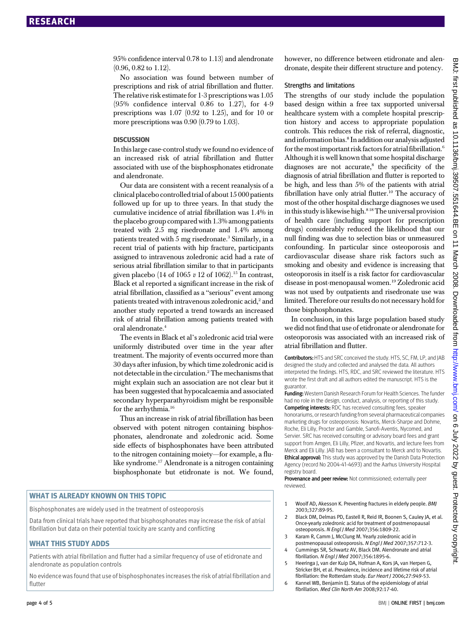95% confidence interval 0.78 to 1.13) and alendronate (0.96, 0.82 to 1.12).

No association was found between number of prescriptions and risk of atrial fibrillation and flutter. The relative risk estimate for 1-3 prescriptions was 1.05 (95% confidence interval 0.86 to 1.27), for 4-9 prescriptions was 1.07 (0.92 to 1.25), and for 10 or more prescriptions was 0.90 (0.79 to 1.03).

#### **DISCUSSION**

In this large case-control study wefound no evidence of an increased risk of atrial fibrillation and flutter associated with use of the bisphosphonates etidronate and alendronate.

Our data are consistent with a recent reanalysis of a clinical placebo controlled trial of about 15 000 patients followed up for up to three years. In that study the cumulative incidence of atrial fibrillation was 1.4% in the placebo group compared with 1.3% among patients treated with 2.5 mg risedronate and 1.4% among patients treated with 5 mg risedronate.<sup>3</sup> Similarly, in a recent trial of patients with hip fracture, participants assigned to intravenous zoledronic acid had a rate of serious atrial fibrillation similar to that in participants given placebo (14 of 1065  $v$  12 of 1062).<sup>15</sup> In contrast, Black et al reported a significant increase in the risk of atrial fibrillation, classified as a "serious" event among patients treated with intravenous zoledronic acid,<sup>2</sup> and another study reported a trend towards an increased risk of atrial fibrillation among patients treated with oral alendronate.4

The events in Black et al's zoledronic acid trial were uniformly distributed over time in the year after treatment. The majority of events occurred more than 30 days after infusion, by which time zoledronic acid is not detectable in the circulation.2The mechanisms that might explain such an association are not clear but it has been suggested that hypocalcaemia and associated secondary hyperparathyroidism might be responsible for the arrhythmia.<sup>16</sup>

Thus an increase in risk of atrial fibrillation has been observed with potent nitrogen containing bisphosphonates, alendronate and zoledronic acid. Some side effects of bisphosphonates have been attributed to the nitrogen containing moiety—for example, a flulike syndrome.17 Alendronate is a nitrogen containing bisphosphonate but etidronate is not. We found,

#### WHAT IS ALREADY KNOWN ON THIS TOPIC

Bisphosphonates are widely used in the treatment of osteoporosis

Data from clinical trials have reported that bisphosphonates may increase the risk of atrial fibrillation but data on their potential toxicity are scanty and conflicting

#### WHAT THIS STUDY ADDS

Patients with atrial fibrillation and flutter had a similar frequency of use of etidronate and alendronate as population controls

No evidence was found that use of bisphosphonates increases the risk of atrial fibrillation and flutter

however, no difference between etidronate and alendronate, despite their different structure and potency.

#### Strengths and limitations

The strengths of our study include the population based design within a free tax supported universal healthcare system with a complete hospital prescription history and access to appropriate population controls. This reduces the risk of referral, diagnostic, and information bias.8 In addition our analysis adjusted for the most important risk factors for atrial fibrillation.<sup>6</sup> Although it is well known that some hospital discharge diagnoses are not accurate, $8$  the specificity of the diagnosis of atrial fibrillation and flutter is reported to be high, and less than 5% of the patients with atrial fibrillation have only atrial flutter.<sup>10</sup> The accuracy of most of the other hospital discharge diagnoses we used in this study is likewise high.<sup>818</sup> The universal provision of health care (including support for prescription drugs) considerably reduced the likelihood that our null finding was due to selection bias or unmeasured confounding. In particular since osteoporosis and cardiovascular disease share risk factors such as smoking and obesity and evidence is increasing that osteoporosis in itself is a risk factor for cardiovascular disease in post-menopausal women.19 Zoledronic acid was not used by outpatients and risedronate use was limited. Therefore our results do not necessary hold for those bisphosphonates.

In conclusion, in this large population based study we did not find that use of etidronate or alendronate for osteoporosis was associated with an increased risk of atrial fibrillation and flutter.

Contributors: HTS and SRC conceived the study. HTS, SC, FM, LP, and JAB designed the study and collected and analysed the data. All authors interpreted the findings. HTS, RDC, and SRC reviewed the literature. HTS wrote the first draft and all authors edited the manuscript. HTS is the guarantor.

Funding: Western Danish Research Forum for Health Sciences. The funder had no role in the design, conduct, analysis, or reporting of this study. Competing interests: RDC has received consulting fees, speaker honorariums, or research funding from several pharmaceutical companies marketing drugs for osteoporosis: Novartis, Merck-Sharpe and Dohme, Roche, Eli Lilly, Procter and Gamble, Sanofi-Aventis, Nycomed, and Servier. SRC has received consulting or advisory board fees and grant support from Amgen, Eli Lilly, Pfizer, and Novartis, and lecture fees from Merck and Eli Lilly. JAB has been a consultant to Merck and to Novartis. Ethical approval: This study was approved by the Danish Data Protection Agency (record No 2004-41-4693) and the Aarhus University Hospital registry board.

Provenance and peer review: Not commissioned; externally peer reviewed.

- 1 Woolf AD, Akesson K. Preventing fractures in elderly people. BMJ 2003;327:89-95.
- 2 Black DM, Delmas PD, Eastell R, Reid IR, Boonen S, Cauley JA, et al. Once-yearly zoledronic acid for treatment of postmenopausal osteoporosis. N Engl J Med 2007;356:1809-22.
- 3 Karam R, Camm J, McClung M. Yearly zoledronic acid in postmenopausal osteoporosis. N Engl J Med 2007;357:712-3.
- 4 Cummings SR, Schwartz AV, Black DM. Alendronate and atrial fibrillation. N Engl J Med 2007;356:1895-6.
- 5 Heeringa J, van der Kuip DA, Hofman A, Kors JA, van Herpen G, Stricker BH, et al. Prevalence, incidence and lifetime risk of atrial fibrillation: the Rotterdam study. Eur Heart J 2006;27:949-53.
- 6 Kannel WB, Benjamin EJ. Status of the epidemiology of atrial fibrillation. Med Clin North Am 2008;92:17-40.